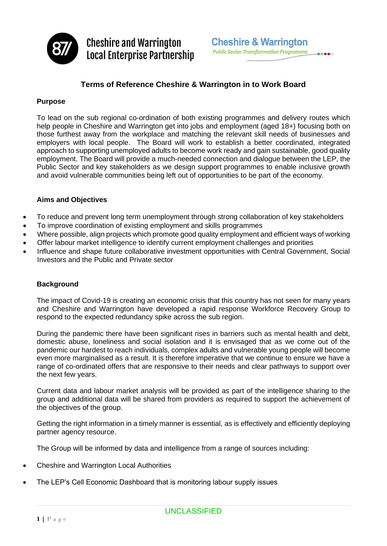

**Cheshire and Warrington Local Enterprise Partnership** 

# **Terms of Reference Cheshire & Warrington in to Work Board**

# **Purpose**

To lead on the sub regional co-ordination of both existing programmes and delivery routes which help people in Cheshire and Warrington get into jobs and employment (aged 18+) focusing both on those furthest away from the workplace and matching the relevant skill needs of businesses and employers with local people. The Board will work to establish a better coordinated, integrated approach to supporting unemployed adults to become work ready and gain sustainable, good quality employment. The Board will provide a much-needed connection and dialogue between the LEP, the Public Sector and key stakeholders as we design support programmes to enable inclusive growth and avoid vulnerable communities being left out of opportunities to be part of the economy.

## **Aims and Objectives**

- To reduce and prevent long term unemployment through strong collaboration of key stakeholders
- To improve coordination of existing employment and skills programmes
- Where possible, align projects which promote good quality employment and efficient ways of working
- Offer labour market intelligence to identify current employment challenges and priorities
- Influence and shape future collaborative investment opportunities with Central Government, Social Investors and the Public and Private sector

#### **Background**

The impact of Covid-19 is creating an economic crisis that this country has not seen for many years and Cheshire and Warrington have developed a rapid response Workforce Recovery Group to respond to the expected redundancy spike across the sub region.

During the pandemic there have been significant rises in barriers such as mental health and debt, domestic abuse, loneliness and social isolation and it is envisaged that as we come out of the pandemic our hardest to reach individuals, complex adults and vulnerable young people will become even more marginalised as a result. It is therefore imperative that we continue to ensure we have a range of co-ordinated offers that are responsive to their needs and clear pathways to support over the next few years.

Current data and labour market analysis will be provided as part of the intelligence sharing to the group and additional data will be shared from providers as required to support the achievement of the objectives of the group.

Getting the right information in a timely manner is essential, as is effectively and efficiently deploying partner agency resource.

The Group will be informed by data and intelligence from a range of sources including:

- Cheshire and Warrington Local Authorities
- The LEP's Cell Economic Dashboard that is monitoring labour supply issues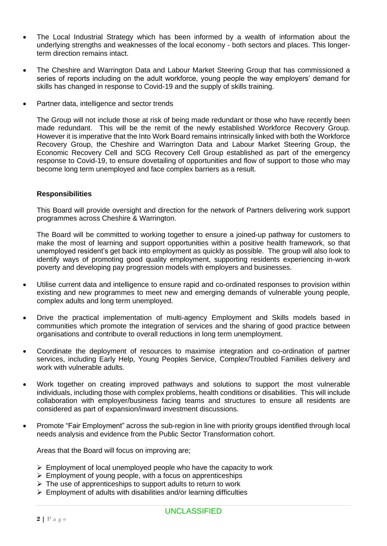- The Local Industrial Strategy which has been informed by a wealth of information about the underlying strengths and weaknesses of the local economy - both sectors and places. This longerterm direction remains intact.
- The Cheshire and Warrington Data and Labour Market Steering Group that has commissioned a series of reports including on the adult workforce, young people the way employers' demand for skills has changed in response to Covid-19 and the supply of skills training.
- Partner data, intelligence and sector trends

The Group will not include those at risk of being made redundant or those who have recently been made redundant. This will be the remit of the newly established Workforce Recovery Group. However it is imperative that the Into Work Board remains intrinsically linked with both the Workforce Recovery Group, the Cheshire and Warrington Data and Labour Market Steering Group, the Economic Recovery Cell and SCG Recovery Cell Group established as part of the emergency response to Covid-19, to ensure dovetailing of opportunities and flow of support to those who may become long term unemployed and face complex barriers as a result.

#### **Responsibilities**

This Board will provide oversight and direction for the network of Partners delivering work support programmes across Cheshire & Warrington.

The Board will be committed to working together to ensure a joined-up pathway for customers to make the most of learning and support opportunities within a positive health framework, so that unemployed resident's get back into employment as quickly as possible. The group will also look to identify ways of promoting good quality employment, supporting residents experiencing in-work poverty and developing pay progression models with employers and businesses.

- Utilise current data and intelligence to ensure rapid and co-ordinated responses to provision within existing and new programmes to meet new and emerging demands of vulnerable young people, complex adults and long term unemployed.
- Drive the practical implementation of multi-agency Employment and Skills models based in communities which promote the integration of services and the sharing of good practice between organisations and contribute to overall reductions in long term unemployment.
- Coordinate the deployment of resources to maximise integration and co-ordination of partner services, including Early Help, Young Peoples Service, Complex/Troubled Families delivery and work with vulnerable adults.
- Work together on creating improved pathways and solutions to support the most vulnerable individuals, including those with complex problems, health conditions or disabilities. This will include collaboration with employer/business facing teams and structures to ensure all residents are considered as part of expansion/inward investment discussions.
- Promote "Fair Employment" across the sub-region in line with priority groups identified through local needs analysis and evidence from the Public Sector Transformation cohort.

Areas that the Board will focus on improving are;

- $\triangleright$  Employment of local unemployed people who have the capacity to work
- $\triangleright$  Employment of young people, with a focus on apprenticeships
- $\triangleright$  The use of apprenticeships to support adults to return to work
- $\triangleright$  Employment of adults with disabilities and/or learning difficulties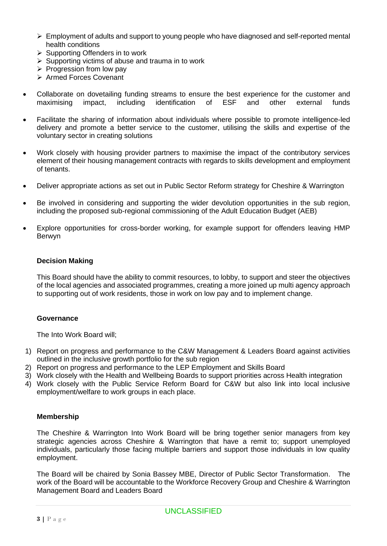- $\triangleright$  Employment of adults and support to young people who have diagnosed and self-reported mental health conditions
- ➢ Supporting Offenders in to work
- $\triangleright$  Supporting victims of abuse and trauma in to work
- $\triangleright$  Progression from low pay
- ➢ Armed Forces Covenant
- Collaborate on dovetailing funding streams to ensure the best experience for the customer and maximising impact, including identification of ESF and other external funds
- Facilitate the sharing of information about individuals where possible to promote intelligence-led delivery and promote a better service to the customer, utilising the skills and expertise of the voluntary sector in creating solutions
- Work closely with housing provider partners to maximise the impact of the contributory services element of their housing management contracts with regards to skills development and employment of tenants.
- Deliver appropriate actions as set out in Public Sector Reform strategy for Cheshire & Warrington
- Be involved in considering and supporting the wider devolution opportunities in the sub region, including the proposed sub-regional commissioning of the Adult Education Budget (AEB)
- Explore opportunities for cross-border working, for example support for offenders leaving HMP Berwyn

## **Decision Making**

This Board should have the ability to commit resources, to lobby, to support and steer the objectives of the local agencies and associated programmes, creating a more joined up multi agency approach to supporting out of work residents, those in work on low pay and to implement change.

#### **Governance**

The Into Work Board will;

- 1) Report on progress and performance to the C&W Management & Leaders Board against activities outlined in the inclusive growth portfolio for the sub region
- 2) Report on progress and performance to the LEP Employment and Skills Board
- 3) Work closely with the Health and Wellbeing Boards to support priorities across Health integration
- 4) Work closely with the Public Service Reform Board for C&W but also link into local inclusive employment/welfare to work groups in each place.

#### **Membership**

The Cheshire & Warrington Into Work Board will be bring together senior managers from key strategic agencies across Cheshire & Warrington that have a remit to; support unemployed individuals, particularly those facing multiple barriers and support those individuals in low quality employment.

The Board will be chaired by Sonia Bassey MBE, Director of Public Sector Transformation. The work of the Board will be accountable to the Workforce Recovery Group and Cheshire & Warrington Management Board and Leaders Board